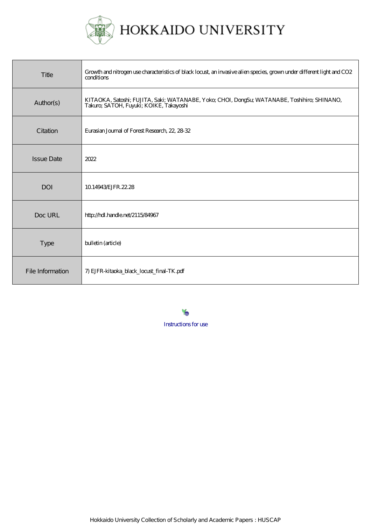

| Title             | Growth and nitrogen use characteristics of black locust, an invasive alien species, grown under different light and CO2<br>conditions  |
|-------------------|----------------------------------------------------------------------------------------------------------------------------------------|
| Author(s)         | KITAOKA, Satoshi; FUJITA, Saki; WATANABE, Yoko; CHOI, DongSu; WATANABE, Toshihiro; SHINANO,<br>Takuro; SATOH, Fuyuki; KOIKE, Takayoshi |
| Citation          | Eurasian Journal of Forest Research, 22, 28-32                                                                                         |
| <b>Issue Date</b> | 2022                                                                                                                                   |
| <b>DOI</b>        | 10.14943 EJFR. 22.28                                                                                                                   |
| Doc URL           | http://hdl.handle.net/2115/84967                                                                                                       |
| <b>Type</b>       | bulletin (article)                                                                                                                     |
| File Information  | 7) EJFR-kitaoka_black_locust_final-TK.pdf                                                                                              |

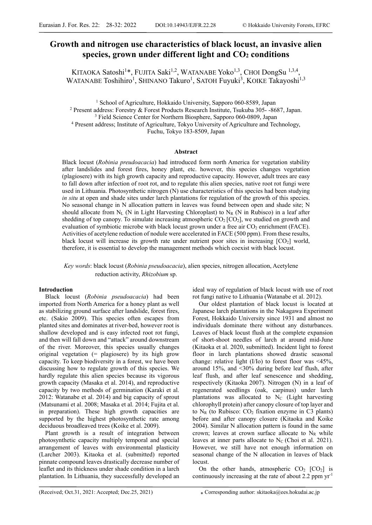# **Growth and nitrogen use characteristics of black locust, an invasive alien**  species, grown under different light and  $CO<sub>2</sub>$  conditions

KITAOKA Satoshi<sup>1\*</sup>, FUJITA Saki<sup>1,2</sup>, WATANABE Yoko<sup>1,3</sup>, CHOI DongSu<sup>1,3,4</sup>, WATANABE Toshihiro<sup>1</sup>, SHINANO Takuro<sup>1</sup>, SATOH Fuyuki<sup>3</sup>, KOIKE Takayoshi<sup>1,3</sup>

<sup>1</sup> School of Agriculture, Hokkaido University, Sapporo 060-8589, Japan<br><sup>2</sup> Present address: Forestry & Forest Products Research Institute, Tsukuba 305, 86

<sup>2</sup> Present address: Forestry & Forest Products Research Institute, Tsukuba 305--8687, Japan.

<sup>3</sup> Field Science Center for Northern Biosphere, Sapporo 060-0809, Japan

 Present address; Institute of Agriculture, Tokyo University of Agriculture and Technology, Fuchu, Tokyo 183-8509, Japan

#### **Abstract**

Black locust (*Robinia preudoacacia*) had introduced form north America for vegetation stability after landslides and forest fires, honey plant, etc. however, this species changes vegetation (plagiosere) with its high growth capacity and reproductive capacity. However, adult trees are easy to fall down after infection of root rot, and to regulate this alien species, native root rot fungi were used in Lithuania. Photosynthetic nitrogen (N) use characteristics of this species had been studying *in situ* at open and shade sites under larch plantations for regulation of the growth of this species. No seasonal change in N allocation pattern in leaves was found between open and shade site; N should allocate from  $N_L$  (N in Light Harvesting Chloroplast) to  $N_R$  (N in Rubisco) in a leaf after shedding of top canopy. To simulate increasing atmospheric  $CO<sub>2</sub>$  [CO<sub>2</sub>], we studied on growth and evaluation of symbiotic microbe with black locust grown under a free air  $CO<sub>2</sub>$  enrichment (FACE). Activities of acetylene reduction of nodule were accelerated in FACE (500 ppm). From these results, black locust will increase its growth rate under nutrient poor sites in increasing  $[CO<sub>2</sub>]$  world, therefore, it is essential to develop the management methods which coexist with black locust.

*Key words*: black locust (*Robinia pseudoacacia*), alien species, nitrogen allocation, Acetylene reduction activity, *Rhizobium* sp.

# **Introduction**

Black locust (*Robinia pseudoacacia*) had been imported from North America for a honey plant as well as stabilizing ground surface after landslide, forest fires, etc. (Sakio 2009). This species often escapes from planted sites and dominates at river-bed, however root is shallow developed and is easy infected root rot fungi, and then will fall down and "attack" around downstream of the river. Moreover, this species usually changes original vegetation (= plagiosere) by its high grow capacity. To keep biodiversity in a forest, we have been discussing how to regulate growth of this species. We hardly regulate this alien species because its vigorous growth capacity (Masaka et al. 2014), and reproductive capacity by two methods of germination (Karaki et al. 2012: Watanabe et al. 2014) and big capacity of sprout (Matsunami et al. 2008; Masaka et al. 2014; Fujita et al. in preparation). These high growth capacities are supported by the highest photosynthetic rate among deciduous broadleaved trees (Koike et al. 2009).

Plant growth is a result of integration between photosynthetic capacity multiply temporal and special arrangement of leaves with environmental plasticity (Larcher 2003). Kitaoka et al. (submitted) reported pinnate compound leaves drastically decrease number of leaflet and its thickness under shade condition in a larch plantation. In Lithuania, they successfully developed an

ideal way of regulation of black locust with use of root rot fungi native to Lithuania (Watanabe et al. 2012).

Our oldest plantation of black locust is located at Japanese larch plantations in the Nakagawa Experiment Forest, Hokkaido University since 1931 and almost no individuals dominate there without any disturbances. Leaves of black locust flush at the complete expansion of short-shoot needles of larch at around mid-June (Kitaoka et al. 2020, submitted). Incident light to forest floor in larch plantations showed drastic seasonal change: relative light  $(I/I<sub>O</sub>)$  to forest floor was <45%, around 15%, and <30% during before leaf flush, after leaf flush, and after leaf senescence and shedding, respectively (Kitaoka 2007). Nitrogen (N) in a leaf of regenerated seedlings (oak, carpinus) under larch plantations was allocated to  $N_c$  (Light harvesting chlorophyll protein) after canopy closure of top layer and to  $N_R$  (to Rubisco:  $CO_2$  fixation enzyme in C3 plants) before and after canopy closure (Kitaoka and Koike 2004). Similar N allocation pattern is found in the same crown; leaves at crown surface allocate to  $N_R$  while leaves at inner parts allocate to  $N_c$  (Choi et al. 2021). However, we still have not enough information on seasonal change of the N allocation in leaves of black locust.

On the other hands, atmospheric  $CO<sub>2</sub> [CO<sub>2</sub>]$  is continuously increasing at the rate of about 2.2 ppm yr-1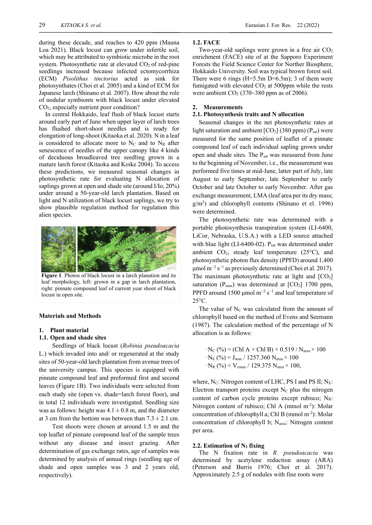during these decade, and reaches to 420 ppm (Mauna Loa 2021). Black locust can grow under infertile soil, which may be attributed to symbiotic microbe in the root system. Photosynthetic rate at elevated  $CO<sub>2</sub>$  of red-pine seedlings increased because infected ectomycorrhiza (ECM) *Pisolithus tinctorius* acted as sink for photosynthates (Choi et al. 2005) and a kind of ECM for Japanese larch (Shinano et al. 2007). How about the role of nodular symbionts with black locust under elevated CO2, especially nutrient poor condition?

In central Hokkaido, leaf flush of black locust starts around early part of June when upper layer of larch trees has flushed short-shoot needles and is ready for elongation of long-shoot (Kitaoka et al. 2020). N in a leaf is considered to allocate more to  $N_c$  and to  $N_R$  after senescence of needles of the upper canopy like 4 kinds of deciduous broadleaved tree seedling grown in a mature larch forest (Kitaoka and Koike 2004). To access these predictions, we measured seasonal changes in photosynthetic rate for evaluating N allocation of saplings grown at open and shade site (around I/Io, 20%) under around a 50-year-old larch plantation. Based on light and N utilization of black locust saplings, we try to show plausible regulation method for regulation this alien species.



**Figure 1**. Photos of black locust in a larch planation and its leaf morphology, left: grown in a gap in larch plantation, right: pinnate compound leaf of current year shoot of black locust in open site.

#### **Materials and Methods**

#### **1. Plant material**

# **1.1. Open and shade sites**

Seedlings of black locust (*Robinia pseudoacacia* L.) which invaded into and/ or regenerated at the study sites of 50-year-old larch plantation from avenue trees of the university campus. This species is equipped with pinnate compound leaf and preformed first and second leaves (Figure 1B). Two individuals were selected from each study site (open vs. shade=larch forest floor), and in total 12 individuals were investigated. Seedling size was as follows: height was  $4.1 \pm 0.8$  m, and the diameter at 3 cm from the bottom was between than  $7.3 \pm 2.1$  cm.

Test shoots were chosen at around 1.5 m and the top leaflet of pinnate compound leaf of the sample trees without any disease and insect grazing. After determination of gas exchange rates, age of samples was determined by analysis of annual rings (seedling age of shade and open samples was 3 and 2 years old, respectively).

#### **1.2. FACE**

Two-year-old saplings were grown in a free air  $CO<sub>2</sub>$ enrichment (FACE) site of at the Sapporo Experiment Forests the Field Science Center for Norther Biosphere, Hokkaido University. Soil was typical brown forest soil. There were 6 rings ( $H = 5.5$ m D $= 6.5$ m); 3 of them were fumigated with elevated  $CO<sub>2</sub>$  at 500ppm while the rests were ambient  $CO<sub>2</sub>$  (370~380 ppm as of 2006).

### **2. Measurements**

# **2.1. Photosynthesis traits and N allocation**

Seasonal changes in the net photosynthetic rates at light saturation and ambient  $[CO_2]$  (380 ppm) ( $P_{sat}$ ) were measured for the same position of leaflet of a pinnate compound leaf of each individual sapling grown under open and shade sites. The P<sub>sat</sub> was measured from June to the beginning of November, i.e., the measurement was performed five times at mid-June, latter part of July, late August to early September, late September to early October and late October to early November. After gas exchange measurement, LMA (leaf area per its dry mass; g/m2 ) and chlorophyll contents (Shinano et el. 1996) were determined.

The photosynthetic rate was determined with a portable photosynthesis transpiration system (LI-6400, LiCor, Nebraska, U.S.A.) with a LED source attached with blue light (LI-6400-02).  $P_{sat}$  was determined under ambient  $CO<sub>2</sub>$ , steady leaf temperature (25 $\rm ^{o}C$ ), and photosynthetic photon flux density (PPFD) around 1,400  $\mu$ mol m<sup>-2</sup> s<sup>-1</sup> as previously determined (Choi et al. 2017). The maximum photosynthetic rate at light and  $[CO<sub>2</sub>]$ saturation ( $P_{\text{max}}$ ) was determined at  $[CO_2]$  1700 ppm, PPFD around 1500 µmol  $m^{-2}$  s<sup>-1</sup> and leaf temperature of 25°C.

The value of  $N<sub>C</sub>$  was calculated from the amount of chlorophyll based on the method of Evens and Seemann (1987). The calculation method of the percentage of N allocation is as follows:

$$
\cdot N_{C} (\%) = (Chl A + Chl B) \times 0.519 / N_{area} \times 100
$$
  

$$
\cdot N_{E} (\%) = J_{max} / 1257.360 N_{area} \times 100
$$
  

$$
\cdot N_{R} (\%) = V_{cmax} / 129.375 N_{area} \times 100,
$$

where,  $N_C$ : Nitrogen content of LHC, PS I and PS II;  $N_E$ : Electron transport proteins except  $N_c$  plus the nitrogen content of carbon cycle proteins except rubisco;  $N_R$ : Nitrogen content of rubisco; Chl A (mmol m<sup>-2</sup>): Molar concentration of chlorophyll a; Chl B (mmol m-2): Molar concentration of chlorophyll b; Narea: Nitrogen content per area.

#### **2.2. Estimation of N2 fixing**

The N fixation rate in *R. pseudoacacia* was determined by acetylene reduction assay (ARA) (Peterson and Burris 1976; Choi et al. 2017). Approximately 2.5 g of nodules with fine roots were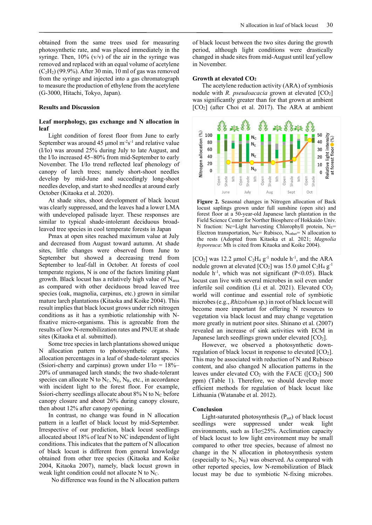obtained from the same trees used for measuring photosynthetic rate, and was placed immediately in the syringe. Then,  $10\%$  (v/v) of the air in the syringe was removed and replaced with an equal volume of acetylene  $(C<sub>2</sub>H<sub>2</sub>)$  (99.9%). After 30 min, 10 ml of gas was removed from the syringe and injected into a gas chromatograph to measure the production of ethylene from the acetylene (G-3000, Hitachi, Tokyo, Japan).

#### **Results and Discussion**

# **Leaf morphology, gas exchange and N allocation in leaf**

Light condition of forest floor from June to early September was around 45  $\mu$ mol m<sup>-2</sup>s<sup>-1</sup> and relative value (I/Io) was around 25% during July to late August, and the I/Io increased 45~80% from mid-September to early November. The I/Io trend reflected leaf phenology of canopy of larch trees; namely short-shoot needles develop by mid-June and succedingly long-shoot needles develop, and start to shed needles at around early October (Kitaoka et al. 2020).

At shade sites, shoot development of black locust was clearly suppressed, and the leaves had a lower LMA with undeveloped palisade layer. These responses are similar to typical shade-intolerant deciduous broadleaved tree species in cool temperate forests in Japan

Pmax at open sites reached maximum value at July and decreased from August toward autumn. At shade sites, little changes were observed from June to September but showed a decreasing trend from September to leaf-fall in October. At forests of cool temperate regions, N is one of the factors limiting plant growth. Black locust has a relatively high value of  $N_{area}$ as compared with other deciduous broad leaved tree species (oak, magnolia, carpinus, etc.) grown in similar mature larch plantations (Kitaoka and Koike 2004). This result implies that black locust grows under rich nitrogen conditions as it has a symbiotic relationship with Nfixative micro-organisms. This is agreeable from the results of low N-remobilization rates and PNUE at shade sites (Kitaoka et al. submitted).

Some tree species in larch plantations showed unique N allocation pattern to photosynthetic organs. N allocation percentages in a leaf of shade-tolerant species (Ssiori-cherry and carpinus) grown under  $I/I_0 = 18\%$ 20% of unmanaged larch stands; the two shade-tolerant species can allocate N to  $N_c$ ,  $N_E$ ,  $N_R$ , etc., in accordance with incident light to the forest floor. For example, Ssiori-cherry seedlings allocate about  $8\%$  N to N<sub>C</sub> before canopy closure and about 26% during canopy closure, then about 12% after canopy opening.

In contrast, no change was found in N allocation pattern in a leaflet of black locust by mid-September. Irrespective of our prediction, black locust seedlings allocated about 18% of leaf N to NC independent of light conditions. This indicates that the pattern of N allocation of black locust is different from general knowledge obtained from other tree species (Kitaoka and Koike 2004, Kitaoka 2007), namely, black locust grown in weak light condition could not allocate N to  $N_c$ .

No difference was found in the N allocation pattern

of black locust between the two sites during the growth period, although light conditions were drastically changed in shade sites from mid-August until leaf yellow in November.

#### **Growth at elevated CO2**

The acetylene reduction activity (ARA) of symbiosis nodule with *R. pseudoacacia* grown at elevated  $[CO<sub>2</sub>]$ was significantly greater than for that grown at ambient [CO2] (after Choi et al. 2017). The ARA at ambient



**Figure 2.** Seasonal changes in Nitrogen allocation of Back locust saplings grown under full sunshine (open site) and forest floor at a 50-year-old Japanese larch plantation in the Field Science Center for Norther Biosphere of Hokkaido Univ. N fraction: Nc=Light harvesting Chlorophyll protein, N<sub>E</sub>= Electron transportation, NR= Rubisco, Nother= N allocation to the rests (Adopted from Kitaoka et al. 2021; *Magnolia hyporeuca*: Mh is cited from Kitaoka and Koike 2004).

[ $CO<sub>2</sub>$ ] was 12.2 µmol  $C<sub>2</sub>H<sub>4</sub>$  g<sup>-1</sup> nodule h<sup>-1</sup>, and the ARA nodule grown at elevated  $[CO_2]$  was 15.0 µmol  $C_2H_4$  g<sup>-1</sup> nodule  $h^{-1}$ , which was not significant (P<0.05). Black locust can live with several microbes in soil even under infertile soil condition (Li et al. 2021). Elevated  $CO<sub>2</sub>$ world will continue and essential role of symbiotic microbes (e.g., *Rhizobium* sp.) in root of black locust will become more important for offering N resources to vegetation via black locust and may change vegetation more greatly in nutrient poor sites. Shinano et al. (2007) revealed an increase of sink activities with ECM in Japanese larch seedlings grown under elevated  $[CO<sub>2</sub>]$ .

However, we observed a photosynthetic downregulation of black locust in response to elevated  $[CO<sub>2</sub>]$ . This may be associated with reduction of N and Rubisco content, and also changed N allocation patterns in the leaves under elevated  $CO<sub>2</sub>$  with the FACE ( $[CO<sub>2</sub>]$  500 ppm) (Table 1). Therefore, we should develop more efficient methods for regulation of black locust like Lithuania (Watanabe et al. 2012).

#### **Conclusion**

Light-saturated photosynthesis  $(P_{sat})$  of black locust seedlings were suppressed under weak light environments, such as I/Io≤25%. Acclimation capacity of black locust to low light environment may be small compared to other tree species, because of almost no change in the N allocation in photosynthesis system (especially to  $N_c$ ,  $N_R$ ) was observed. As compared with other reported species, low N-remobilization of Black locust may be due to symbiotic N-fixing microbes.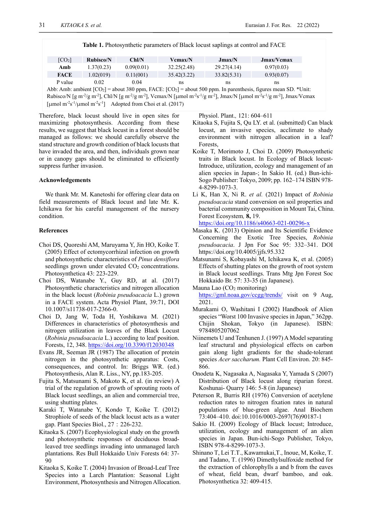|                    |                   |            | <b>Table 1.</b> Photosynthetic parameters of Black locust saplings at control and FACE |             |                                                |
|--------------------|-------------------|------------|----------------------------------------------------------------------------------------|-------------|------------------------------------------------|
| [CO <sub>2</sub> ] | <b>Rubisco/N</b>  | Chl/N      | <b>Vcmax/N</b>                                                                         | Jmax/N      | Jmax/Vcmax                                     |
| Amb                | 1.37(0.23)        | 0.09(0.01) | 32.25(2.48)                                                                            | 29.27(4.14) | 0.97(0.03)                                     |
| <b>FACE</b>        | 1.02(019)         | 0.11(001)  | 35.42(3.22)                                                                            | 33.82(5.31) | 0.93(0.07)                                     |
| P value            | 0.02              | 0.04       | ns                                                                                     | ns          | ns                                             |
| 111111             | $1.5$ $1.5$ $0.7$ | . 200      | $P \cup \cap P$ $P \cap \cap \cap P$ 1                                                 |             | $\alpha \rightarrow \alpha \rightarrow \alpha$ |

Abb: Amb: ambient [CO2] = about 380 ppm, FACE: [CO2] = about 500 ppm. In parenthesis, figures mean SD. \*Unit: Rubisco/N [g m<sup>-2</sup>/g m<sup>-2</sup>], Chl/N [g m<sup>-2</sup>/g m<sup>-2</sup>], Vcmax/N [µmol m<sup>-2</sup>s<sup>-1</sup>/g m<sup>-2</sup>], Jmax/N [µmol m<sup>-2</sup>s<sup>-1</sup>/g m<sup>-2</sup>], Jmax/Vcmax [µmol m<sup>-2</sup>s<sup>-1</sup>/µmol m<sup>-2</sup>s<sup>-1</sup>] Adopted from Choi et al. (2017)

Therefore, black locust should live in open sites for maximizing photosynthesis. According from these results, we suggest that black locust in a forest should be managed as follows: we should carefully observe the stand structure and growth condition of black locusts that have invaded the area, and then, individuals grown near or in canopy gaps should be eliminated to efficiently suppress further invasion.

# **Acknowledgements**

We thank Mr. M. Kanetoshi for offering clear data on field measurements of Black locust and late Mr. K. Ichikawa for his careful management of the nursery condition.

### **References**

- Choi DS, Quoreshi AM, Maruyama Y, Jin HO, Koike T. (2005) Effect of ectomycorrhizal infection on growth and photosynthetic characteristics of *Pinus densiflora* seedlings grown under elevated  $CO<sub>2</sub>$  concentrations. Photosynthetica 43: 223-229.
- Choi DS, Watanabe Y., Guy RD, at al. (2017) Photosynthetic characteristics and nitrogen allocation in the black locust (*Robinia pseudoacacia* L.) grown in a FACE system. Acta Physiol Plant, 39:71, DOI 10.1007/s11738-017-2366-0.
- Choi D, Jang W, Toda H, Yoshikawa M. (2021) Differences in characteristics of photosynthesis and nitrogen utilization in leaves of the Black Locust (*Robinia pseudoacacia* L.) according to leaf position. Forests, 12, 348. https://doi.org/10.3390/f12030348
- Evans JR, Seeman JR (1987) The allocation of protein nitrogen in the photosynthetic apparatus: Costs, consequences, and control. In: Briggs WR. (ed.) Photosynthesis, Alan R. Liss., NY, pp.183-205.
- Fujita S, Matsunami S, Makoto K, et al. (in review) A trial of the regulation of growth of sprouting roots of Black locust seedlings, an alien and commercial tree, using shutting plates.
- Karaki T, Watanabe Y, Kondo T, Koike T. (2012) Strophiole of seeds of the black locust acts as a water gap. Plant Species Biol., 27:226-232.
- Kitaoka S. (2007) Ecophysiological study on the growth and photosynthetic responses of deciduous broadleaved tree seedlings invading into unmanaged larch plantations. Res Bull Hokkaido Univ Forests 64: 37- 90
- Kitaoka S, Koike T. (2004) Invasion of Broad-Leaf Tree Species into a Larch Plantation: Seasonal Light Environment, Photosynthesis and Nitrogen Allocation.

Physiol. Plant.*,* 121: 604–611

- Kitaoka S, Fujita S, Qu LY. et al. (submitted) Can black locust, an invasive species, acclimate to shady environment with nitrogen allocation in a leaf? Forests,
- Koike T, Morimoto J, Choi D. (2009) Photosynthetic traits in Black locust. In Ecology of Black locust-Introduce, utilization, ecology and management of an alien species in Japan*-*; In Sakio H. (ed.) Bun-ichi-Sogo Publisher: Tokyo, 2009; pp. 162–174 ISBN 978- 4-8299-1073-3.
- Li K, Han X, Ni R. *et al.* (2021) Impact of *Robinia pseudoacacia* stand conversion on soil properties and bacterial community composition in Mount Tai, China. Forest Ecosystem*,* **8,** 19.

https://doi.org/10.1186/s40663-021-00296-x

- Masaka K. (2013) Opinion and Its Scientific Evidence Concerning the Exotic Tree Species, *Robinia pseudoacacia*. J Jpn For Soc 95: 332‒341. DOI https://doi.org/10.4005/jjfs.95.332
- Matsunami S, Kobayashi M, Ichikawa K, et al. (2005) Effects of shutting plates on the growth of root system in Black locust seedlings. Trans Mtg Jpn Forest Soc Hokkaido Br. 57: 33-35 (in Japanese).
- Mauna Lao  $(CO<sub>2</sub>$  monitoring) https://gml.noaa.gov/ccgg/trends/ visit on 9 Aug, 2021.
- Murakami O, Washitani I (2002) Handbook of Alien species "Worst 100 Invasive species in Japan," 362pp. Chijin Shokan, Tokyo (in Japanese). ISBN: 9784805207062
- Niinemets U and Tenhunen J. (1997) A Model separating leaf structural and physiological effects on carbon gain along light gradients for the shade-tolerant species *Acer saccharum.* Plant Cell Environ. 20: 845- 866.
- Onodeta K, Nagasaka A, Nagasaka Y, Yamada S (2007) Distribution of Black locust along riparian forest. Koshunai- Quarry 146: 5-8 (in Japanese)
- Peterson R, Burris RH (1976) Conversion of acetylene reduction rates to nitrogen fixation rates in natural populations of blue-green algae. Anal Biochem 73:404–410. doi:10.1016/0003-2697(76)90187-1
- Sakio H. (2009) Ecology of Black locust; Introduce, utilization, ecology and management of an alien species in Japan. Bun-ichi-Sogo Publisher, Tokyo, ISBN 978-4-8299-1073-3.
- Shinano T, Lei T.T., Kawamukai,T., Inoue, M, Koike, T. and Tadano, T. (1996) Dimethylsulfoxide method for the extraction of chlorophylls a and b from the eaves of wheat, field bean, dwarf bamboo, and oak. Photosynthetica 32: 409-415.